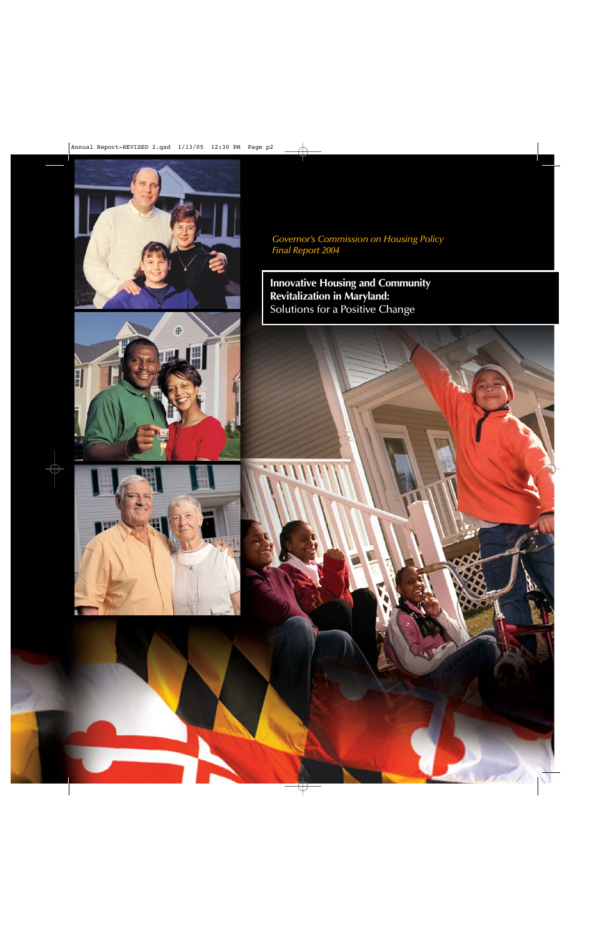

PRE

 $\oplus$ 

*Governor's Commission on Housing Policy Final Report 2004*

**Innovative Housing and Community Revitalization in Maryland:** Solutions for a Positive Change



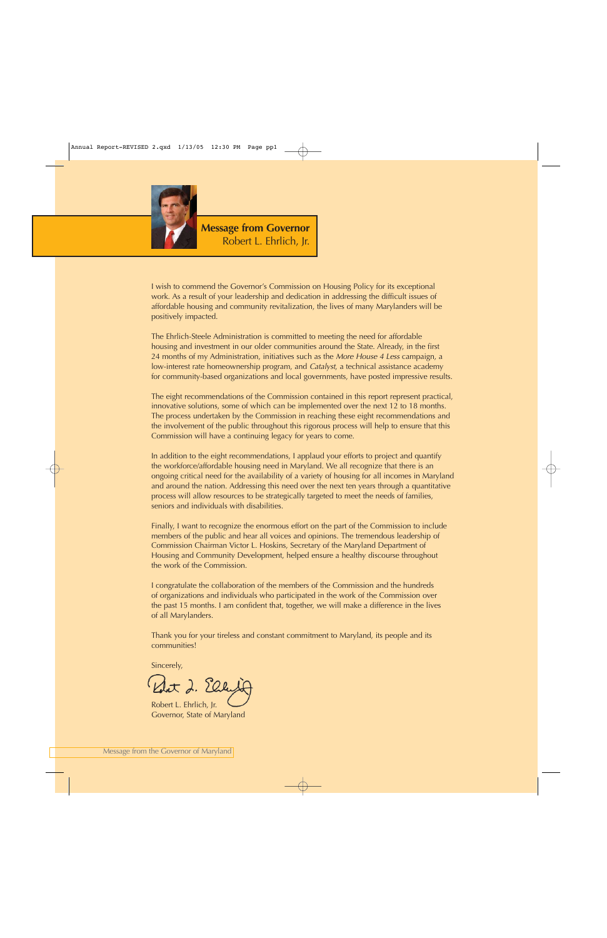

**Message from Governor** Robert L. Ehrlich, Jr.

I wish to commend the Governor's Commission on Housing Policy for its exceptional work. As a result of your leadership and dedication in addressing the difficult issues of affordable housing and community revitalization, the lives of many Marylanders will be positively impacted.

The Ehrlich-Steele Administration is committed to meeting the need for affordable housing and investment in our older communities around the State. Already, in the first 24 months of my Administration, initiatives such as the More House 4 Less campaign, a low-interest rate homeownership program, and Catalyst, a technical assistance academy for community-based organizations and local governments, have posted impressive results.

The eight recommendations of the Commission contained in this report represent practical, innovative solutions, some of which can be implemented over the next 12 to 18 months. The process undertaken by the Commission in reaching these eight recommendations and the involvement of the public throughout this rigorous process will help to ensure that this Commission will have a continuing legacy for years to come.

In addition to the eight recommendations, I applaud your efforts to project and quantify the workforce/affordable housing need in Maryland. We all recognize that there is an ongoing critical need for the availability of a variety of housing for all incomes in Maryland and around the nation. Addressing this need over the next ten years through a quantitative process will allow resources to be strategically targeted to meet the needs of families, seniors and individuals with disabilities.

Finally, I want to recognize the enormous effort on the part of the Commission to include members of the public and hear all voices and opinions. The tremendous leadership of Commission Chairman Victor L. Hoskins, Secretary of the Maryland Department of Housing and Community Development, helped ensure a healthy discourse throughout the work of the Commission.

I congratulate the collaboration of the members of the Commission and the hundreds of organizations and individuals who participated in the work of the Commission over the past 15 months. I am confident that, together, we will make a difference in the lives of all Marylanders.

Thank you for your tireless and constant commitment to Maryland, its people and its communities!

Sincerely,

Let 2. Elle

Robert L. Ehrlich, Jr. Governor, State of Maryland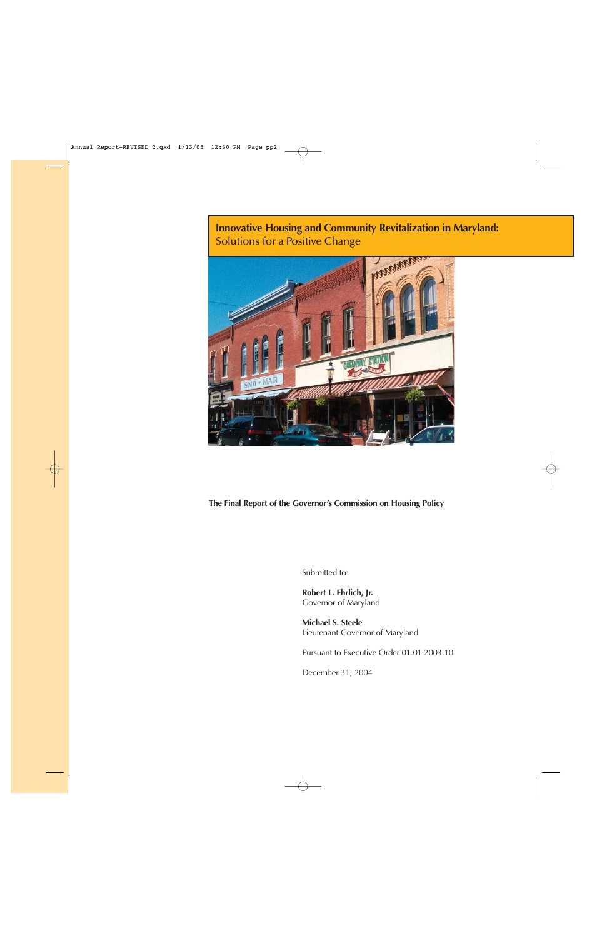# **Innovative Housing and Community Revitalization in Maryland:** Solutions for a Positive Change



# **The Final Report of the Governor's Commission on Housing Policy**

Submitted to:

**Robert L. Ehrlich, Jr.** Governor of Maryland

**Michael S. Steele** Lieutenant Governor of Maryland

Pursuant to Executive Order 01.01.2003.10

December 31, 2004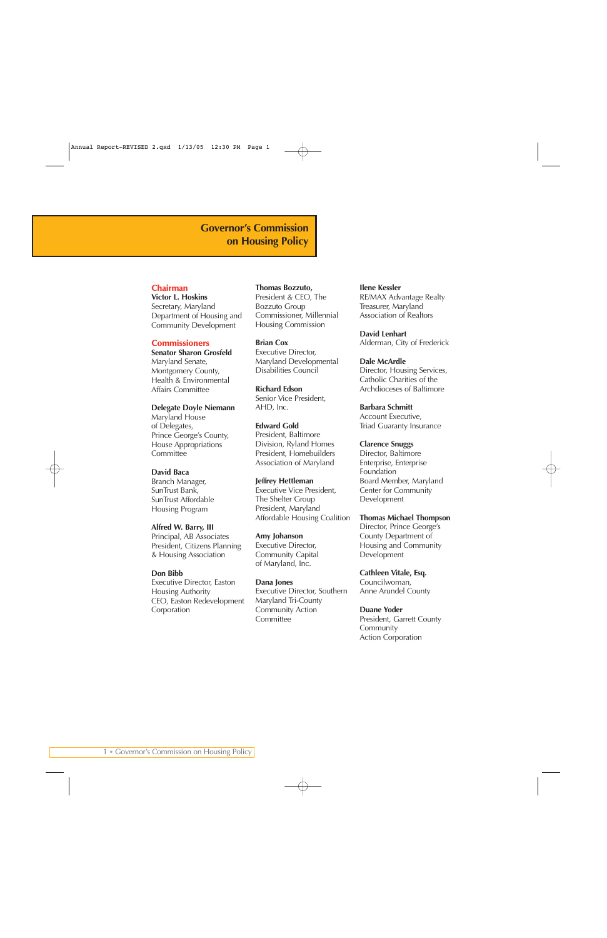# **Governor's Commission on Housing Policy**

# **Chairman**

**Victor L. Hoskins** Secretary, Maryland Department of Housing and Community Development

### **Commissioners**

**Senator Sharon Grosfeld** Maryland Senate, Montgomery County, Health & Environmental Affairs Committee

#### **Delegate Doyle Niemann**

Maryland House of Delegates, Prince George's County, House Appropriations **Committee** 

#### **David Baca**

Branch Manager, SunTrust Bank, SunTrust Affordable Housing Program

#### **Alfred W. Barry, III**

Principal, AB Associates President, Citizens Planning & Housing Association

#### **Don Bibb**

Executive Director, Easton Housing Authority CEO, Easton Redevelopment Corporation

# **Thomas Bozzuto,**  President & CEO, The Bozzuto Group

Commissioner, Millennial Housing Commission

**Brian Cox** Executive Director, Maryland Developmental Disabilities Council

**Richard Edson** Senior Vice President, AHD, Inc.

### **Edward Gold**

President, Baltimore Division, Ryland Homes President, Homebuilders Association of Maryland

**Jeffrey Hettleman** Executive Vice President, The Shelter Group President, Maryland Affordable Housing Coalition

**Amy Johanson** Executive Director, Community Capital of Maryland, Inc.

**Dana Jones** Executive Director, Southern Maryland Tri-County Community Action Committee<sup></sup>

## **Ilene Kessler** RE/MAX Advantage Realty Treasurer, Maryland

Association of Realtors **David Lenhart**

Alderman, City of Frederick

**Dale McArdle** Director, Housing Services, Catholic Charities of the Archdioceses of Baltimore

**Barbara Schmitt** Account Executive, Triad Guaranty Insurance

**Clarence Snuggs**

Director, Baltimore Enterprise, Enterprise Foundation Board Member, Maryland Center for Community Development

### **Thomas Michael Thompson**

Director, Prince George's County Department of Housing and Community **Development** 

**Cathleen Vitale, Esq.** Councilwoman, Anne Arundel County

### **Duane Yoder**

President, Garrett County **Community** Action Corporation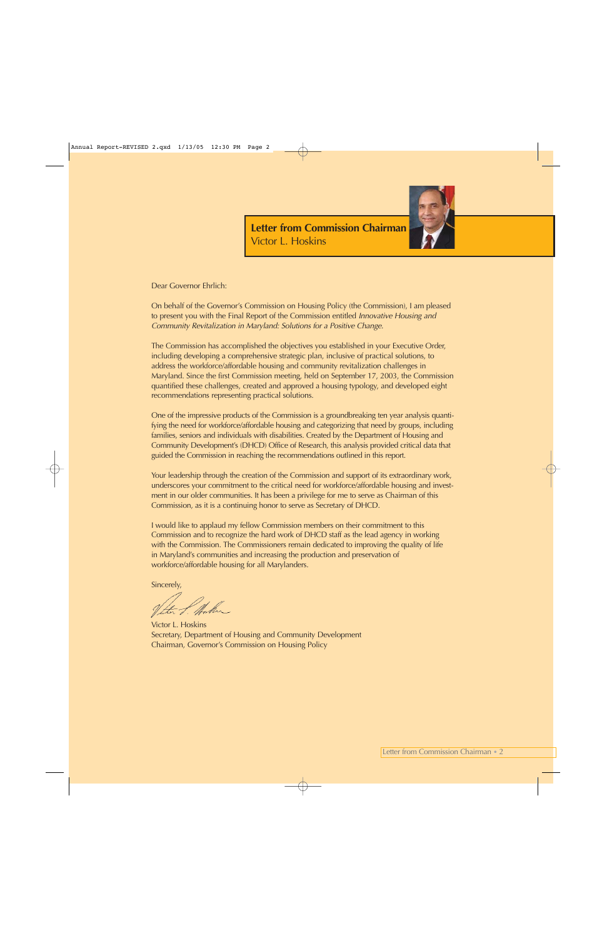# **Letter from Commission Chairman** Victor L. Hoskins



Dear Governor Ehrlich:

On behalf of the Governor's Commission on Housing Policy (the Commission), I am pleased to present you with the Final Report of the Commission entitled Innovative Housing and Community Revitalization in Maryland: Solutions for a Positive Change.

The Commission has accomplished the objectives you established in your Executive Order, including developing a comprehensive strategic plan, inclusive of practical solutions, to address the workforce/affordable housing and community revitalization challenges in Maryland. Since the first Commission meeting, held on September 17, 2003, the Commission quantified these challenges, created and approved a housing typology, and developed eight recommendations representing practical solutions.

One of the impressive products of the Commission is a groundbreaking ten year analysis quantifying the need for workforce/affordable housing and categorizing that need by groups, including families, seniors and individuals with disabilities. Created by the Department of Housing and Community Development's (DHCD) Office of Research, this analysis provided critical data that guided the Commission in reaching the recommendations outlined in this report.

Your leadership through the creation of the Commission and support of its extraordinary work, underscores your commitment to the critical need for workforce/affordable housing and investment in our older communities. It has been a privilege for me to serve as Chairman of this Commission, as it is a continuing honor to serve as Secretary of DHCD.

I would like to applaud my fellow Commission members on their commitment to this Commission and to recognize the hard work of DHCD staff as the lead agency in working with the Commission. The Commissioners remain dedicated to improving the quality of life in Maryland's communities and increasing the production and preservation of workforce/affordable housing for all Marylanders.

Sincerely,

Victor L. Hoskins Secretary, Department of Housing and Community Development Chairman, Governor's Commission on Housing Policy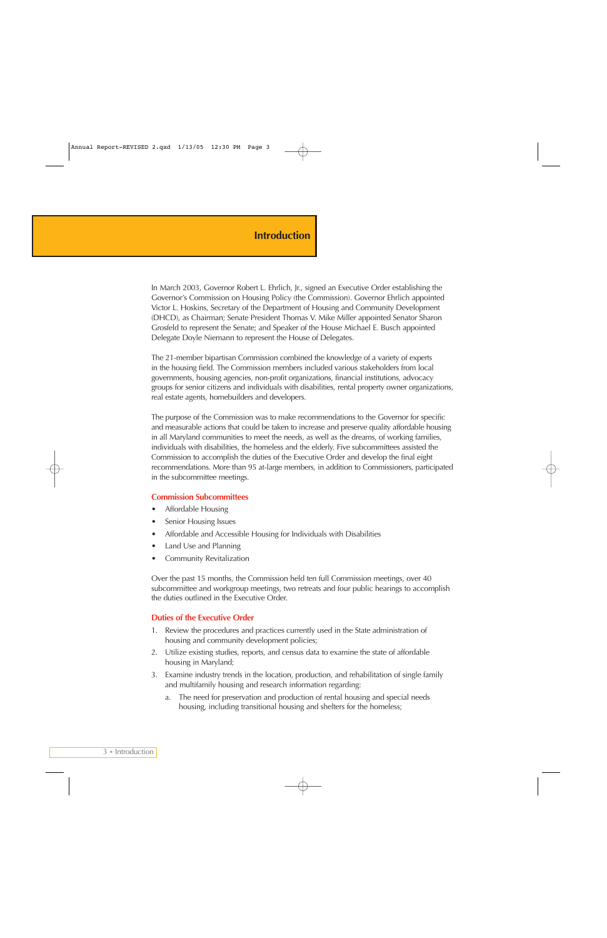# **Introduction**

In March 2003, Governor Robert L. Ehrlich, Jr., signed an Executive Order establishing the Governor's Commission on Housing Policy (the Commission). Governor Ehrlich appointed Victor L. Hoskins, Secretary of the Department of Housing and Community Development (DHCD), as Chairman; Senate President Thomas V. Mike Miller appointed Senator Sharon Grosfeld to represent the Senate; and Speaker of the House Michael E. Busch appointed Delegate Doyle Niemann to represent the House of Delegates.

The 21-member bipartisan Commission combined the knowledge of a variety of experts in the housing field. The Commission members included various stakeholders from local governments, housing agencies, non-profit organizations, financial institutions, advocacy groups for senior citizens and individuals with disabilities, rental property owner organizations, real estate agents, homebuilders and developers.

The purpose of the Commission was to make recommendations to the Governor for specific and measurable actions that could be taken to increase and preserve quality affordable housing in all Maryland communities to meet the needs, as well as the dreams, of working families, individuals with disabilities, the homeless and the elderly. Five subcommittees assisted the Commission to accomplish the duties of the Executive Order and develop the final eight recommendations. More than 95 at-large members, in addition to Commissioners, participated in the subcommittee meetings.

### **Commission Subcommittees**

- Affordable Housing
- Senior Housing Issues
- Affordable and Accessible Housing for Individuals with Disabilities
- Land Use and Planning
- Community Revitalization

Over the past 15 months, the Commission held ten full Commission meetings, over 40 subcommittee and workgroup meetings, two retreats and four public hearings to accomplish the duties outlined in the Executive Order.

# **Duties of the Executive Order**

- 1. Review the procedures and practices currently used in the State administration of housing and community development policies;
- 2. Utilize existing studies, reports, and census data to examine the state of affordable housing in Maryland;
- 3. Examine industry trends in the location, production, and rehabilitation of single family and multifamily housing and research information regarding:
	- a. The need for preservation and production of rental housing and special needs housing, including transitional housing and shelters for the homeless;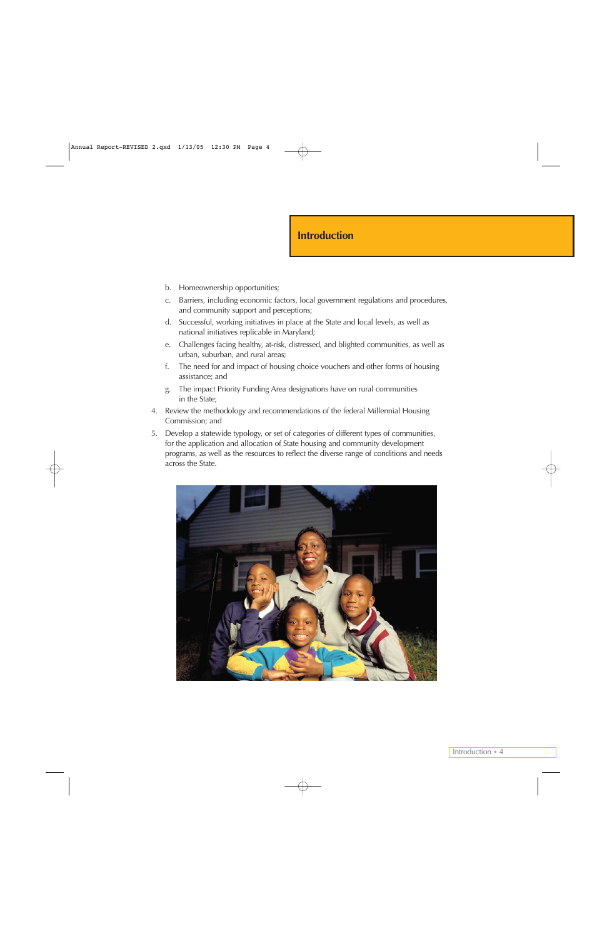# **Introduction**

- b. Homeownership opportunities;
- c. Barriers, including economic factors, local government regulations and procedures, and community support and perceptions;
- d. Successful, working initiatives in place at the State and local levels, as well as national initiatives replicable in Maryland;
- e. Challenges facing healthy, at-risk, distressed, and blighted communities, as well as urban, suburban, and rural areas;
- f. The need for and impact of housing choice vouchers and other forms of housing assistance; and
- g. The impact Priority Funding Area designations have on rural communities in the State;
- 4. Review the methodology and recommendations of the federal Millennial Housing Commission; and
- 5. Develop a statewide typology, or set of categories of different types of communities, for the application and allocation of State housing and community development programs, as well as the resources to reflect the diverse range of conditions and needs across the State.

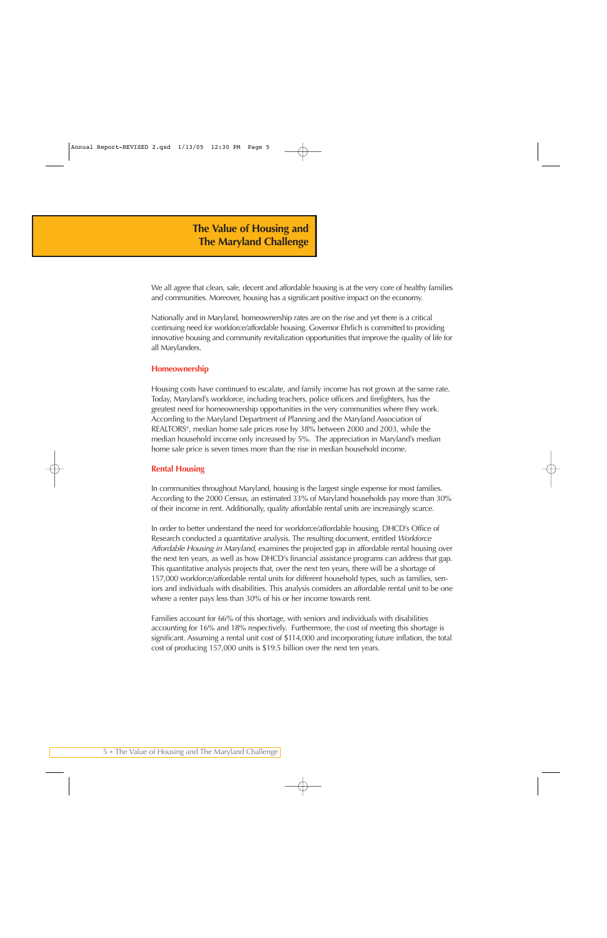# **The Value of Housing and The Maryland Challenge**

We all agree that clean, safe, decent and affordable housing is at the very core of healthy families and communities. Moreover, housing has a significant positive impact on the economy.

Nationally and in Maryland, homeownership rates are on the rise and yet there is a critical continuing need for workforce/affordable housing. Governor Ehrlich is committed to providing innovative housing and community revitalization opportunities that improve the quality of life for all Marylanders.

### **Homeownership**

Housing costs have continued to escalate, and family income has not grown at the same rate. Today, Maryland's workforce, including teachers, police officers and firefighters, has the greatest need for homeownership opportunities in the very communities where they work. According to the Maryland Department of Planning and the Maryland Association of REALTORS®, median home sale prices rose by 38% between 2000 and 2003, while the median household income only increased by 5%. The appreciation in Maryland's median home sale price is seven times more than the rise in median household income.

### **Rental Housing**

In communities throughout Maryland, housing is the largest single expense for most families. According to the 2000 Census, an estimated 33% of Maryland households pay more than 30% of their income in rent. Additionally, quality affordable rental units are increasingly scarce.

In order to better understand the need for workforce/affordable housing, DHCD's Office of Research conducted a quantitative analysis. The resulting document, entitled Workforce Affordable Housing in Maryland, examines the projected gap in affordable rental housing over the next ten years, as well as how DHCD's financial assistance programs can address that gap. This quantitative analysis projects that, over the next ten years, there will be a shortage of 157,000 workforce/affordable rental units for different household types, such as families, seniors and individuals with disabilities. This analysis considers an affordable rental unit to be one where a renter pays less than 30% of his or her income towards rent.

Families account for 66% of this shortage, with seniors and individuals with disabilities accounting for 16% and 18% respectively. Furthermore, the cost of meeting this shortage is significant. Assuming a rental unit cost of \$114,000 and incorporating future inflation, the total cost of producing 157,000 units is \$19.5 billion over the next ten years.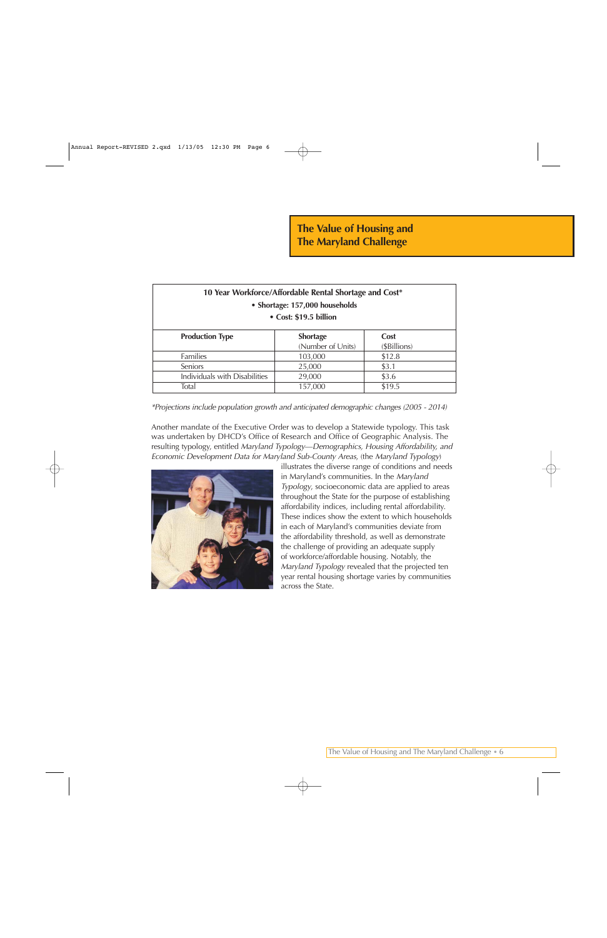# **The Value of Housing and The Maryland Challenge**

| 10 Year Workforce/Affordable Rental Shortage and Cost*<br>· Shortage: 157,000 households<br>• Cost: \$19.5 billion |                                      |                      |  |  |
|--------------------------------------------------------------------------------------------------------------------|--------------------------------------|----------------------|--|--|
| <b>Production Type</b>                                                                                             | <b>Shortage</b><br>(Number of Units) | Cost<br>(\$Billions) |  |  |
| Families                                                                                                           | 103,000                              | \$12.8               |  |  |
| <b>Seniors</b>                                                                                                     | 25,000                               | \$3.1                |  |  |
| Individuals with Disabilities                                                                                      | 29,000                               | \$3.6                |  |  |
| Total                                                                                                              | 157,000                              | \$19.5               |  |  |

\*Projections include population growth and anticipated demographic changes (2005 - 2014)

Another mandate of the Executive Order was to develop a Statewide typology. This task was undertaken by DHCD's Office of Research and Office of Geographic Analysis. The resulting typology, entitled Maryland Typology—Demographics, Housing Affordability, and Economic Development Data for Maryland Sub-County Areas, (the Maryland Typology)



illustrates the diverse range of conditions and needs in Maryland's communities. In the Maryland Typology, socioeconomic data are applied to areas throughout the State for the purpose of establishing affordability indices, including rental affordability. These indices show the extent to which households in each of Maryland's communities deviate from the affordability threshold, as well as demonstrate the challenge of providing an adequate supply of workforce/affordable housing. Notably, the Maryland Typology revealed that the projected ten year rental housing shortage varies by communities across the State.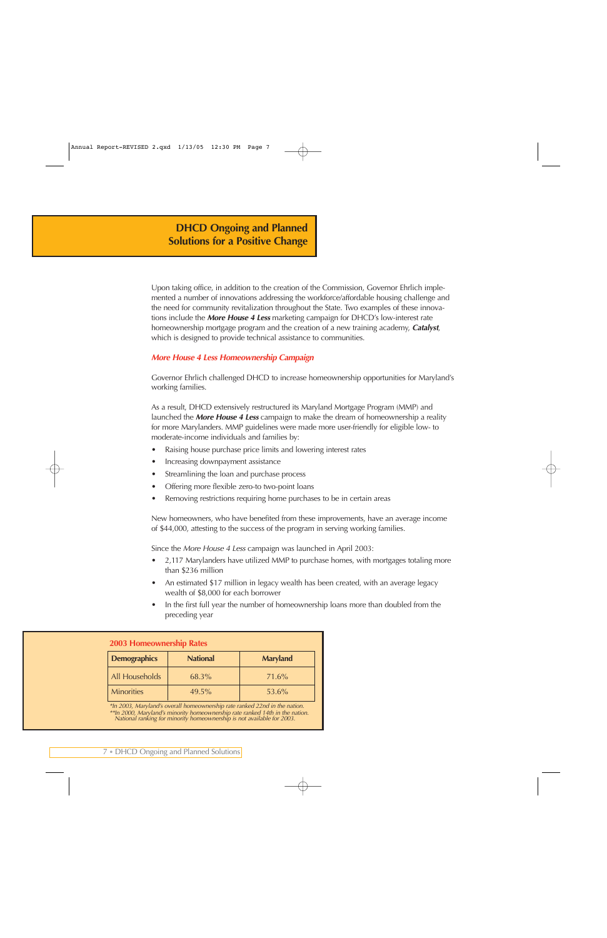Upon taking office, in addition to the creation of the Commission, Governor Ehrlich implemented a number of innovations addressing the workforce/affordable housing challenge and the need for community revitalization throughout the State. Two examples of these innovations include the **More House 4 Less** marketing campaign for DHCD's low-interest rate homeownership mortgage program and the creation of a new training academy, **Catalyst**, which is designed to provide technical assistance to communities.

### **More House 4 Less Homeownership Campaign**

Governor Ehrlich challenged DHCD to increase homeownership opportunities for Maryland's working families.

As a result, DHCD extensively restructured its Maryland Mortgage Program (MMP) and launched the **More House 4 Less** campaign to make the dream of homeownership a reality for more Marylanders. MMP guidelines were made more user-friendly for eligible low- to moderate-income individuals and families by:

- Raising house purchase price limits and lowering interest rates
- Increasing downpayment assistance
- Streamlining the loan and purchase process
- Offering more flexible zero-to two-point loans
- Removing restrictions requiring home purchases to be in certain areas

New homeowners, who have benefited from these improvements, have an average income of \$44,000, attesting to the success of the program in serving working families.

Since the More House 4 Less campaign was launched in April 2003:

- 2,117 Marylanders have utilized MMP to purchase homes, with mortgages totaling more than \$236 million
- An estimated \$17 million in legacy wealth has been created, with an average legacy wealth of \$8,000 for each borrower
- In the first full year the number of homeownership loans more than doubled from the preceding year

### **2003 Homeownership Rates**

| <b>Demographics</b>   | <b>National</b> | <b>Maryland</b> |
|-----------------------|-----------------|-----------------|
| <b>All Households</b> | 68.3%           | $71.6\%$        |
| <b>Minorities</b>     | $49.5\%$        | 53.6%           |

\*In 2003, Maryland's overall homeownership rate ranked 22nd in the nation. \*\*In 2000, Maryland's minority homeownership rate ranked 14th in the nation. National ranking for minority homeownership is not available for 2003.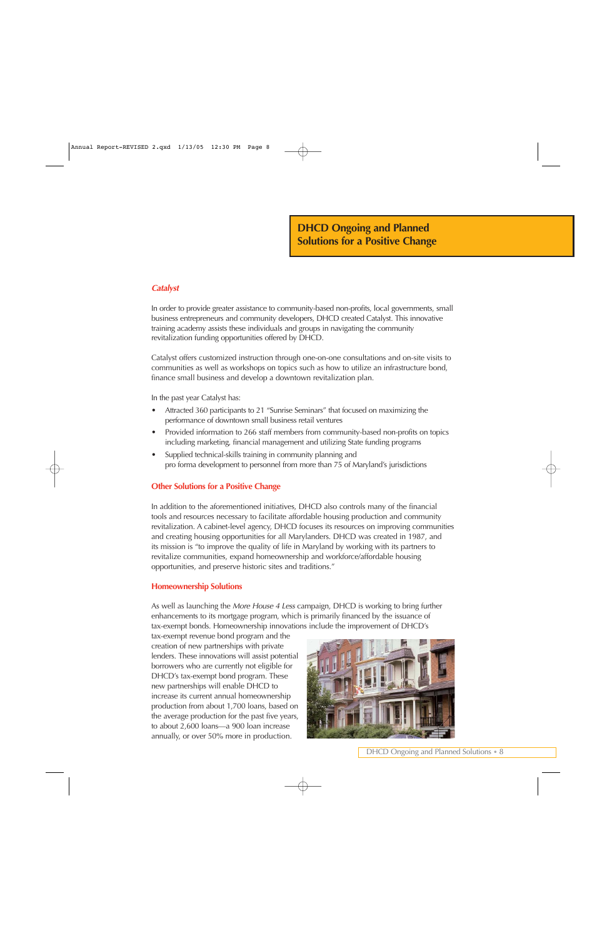# **Catalyst**

In order to provide greater assistance to community-based non-profits, local governments, small business entrepreneurs and community developers, DHCD created Catalyst. This innovative training academy assists these individuals and groups in navigating the community revitalization funding opportunities offered by DHCD.

Catalyst offers customized instruction through one-on-one consultations and on-site visits to communities as well as workshops on topics such as how to utilize an infrastructure bond, finance small business and develop a downtown revitalization plan.

In the past year Catalyst has:

- Attracted 360 participants to 21 "Sunrise Seminars" that focused on maximizing the performance of downtown small business retail ventures
- Provided information to 266 staff members from community-based non-profits on topics including marketing, financial management and utilizing State funding programs
- Supplied technical-skills training in community planning and pro forma development to personnel from more than 75 of Maryland's jurisdictions

### **Other Solutions for a Positive Change**

In addition to the aforementioned initiatives, DHCD also controls many of the financial tools and resources necessary to facilitate affordable housing production and community revitalization. A cabinet-level agency, DHCD focuses its resources on improving communities and creating housing opportunities for all Marylanders. DHCD was created in 1987, and its mission is "to improve the quality of life in Maryland by working with its partners to revitalize communities, expand homeownership and workforce/affordable housing opportunities, and preserve historic sites and traditions."

### **Homeownership Solutions**

As well as launching the More House 4 Less campaign, DHCD is working to bring further enhancements to its mortgage program, which is primarily financed by the issuance of tax-exempt bonds. Homeownership innovations include the improvement of DHCD's

tax-exempt revenue bond program and the creation of new partnerships with private lenders. These innovations will assist potential borrowers who are currently not eligible for DHCD's tax-exempt bond program. These new partnerships will enable DHCD to increase its current annual homeownership production from about 1,700 loans, based on the average production for the past five years, to about 2,600 loans—a 900 loan increase annually, or over 50% more in production.

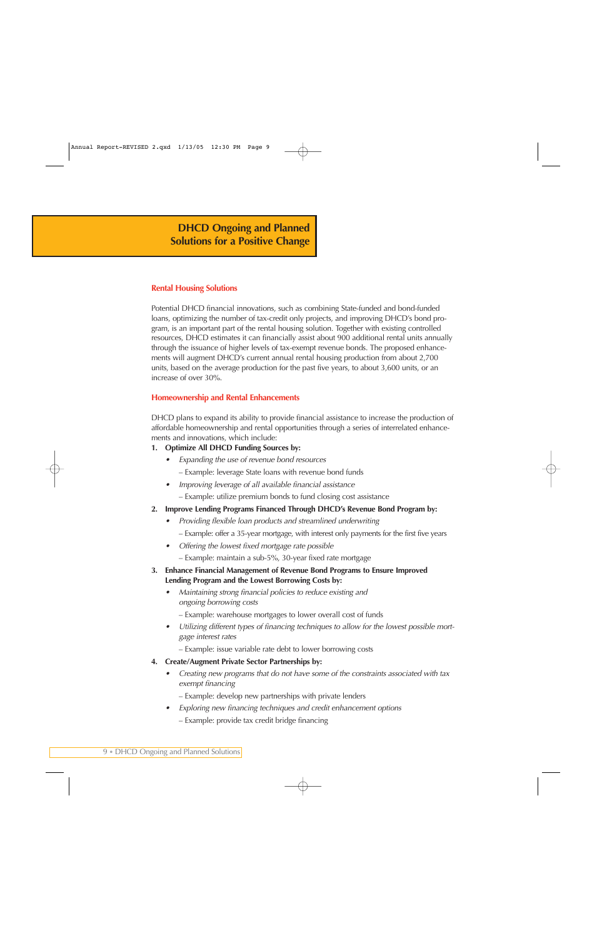## **Rental Housing Solutions**

Potential DHCD financial innovations, such as combining State-funded and bond-funded loans, optimizing the number of tax-credit only projects, and improving DHCD's bond program, is an important part of the rental housing solution. Together with existing controlled resources, DHCD estimates it can financially assist about 900 additional rental units annually through the issuance of higher levels of tax-exempt revenue bonds. The proposed enhancements will augment DHCD's current annual rental housing production from about 2,700 units, based on the average production for the past five years, to about 3,600 units, or an increase of over 30%.

## **Homeownership and Rental Enhancements**

DHCD plans to expand its ability to provide financial assistance to increase the production of affordable homeownership and rental opportunities through a series of interrelated enhancements and innovations, which include:

## **1. Optimize All DHCD Funding Sources by:**

- • Expanding the use of revenue bond resources
	- Example: leverage State loans with revenue bond funds
- Improving leverage of all available financial assistance
	- Example: utilize premium bonds to fund closing cost assistance
- **2. Improve Lending Programs Financed Through DHCD's Revenue Bond Program by:**
	- Providing flexible loan products and streamlined underwriting
		- Example: offer a 35-year mortgage, with interest only payments for the first five years
	- Offering the lowest fixed mortgage rate possible
		- Example: maintain a sub-5%, 30-year fixed rate mortgage
- **3. Enhance Financial Management of Revenue Bond Programs to Ensure Improved Lending Program and the Lowest Borrowing Costs by:**
	- • Maintaining strong financial policies to reduce existing and ongoing borrowing costs
		- Example: warehouse mortgages to lower overall cost of funds
	- Utilizing different types of financing techniques to allow for the lowest possible mortgage interest rates
		- Example: issue variable rate debt to lower borrowing costs
- **4. Create/Augment Private Sector Partnerships by:**
	- • Creating new programs that do not have some of the constraints associated with tax exempt financing
		- Example: develop new partnerships with private lenders
	- Exploring new financing techniques and credit enhancement options
		- Example: provide tax credit bridge financing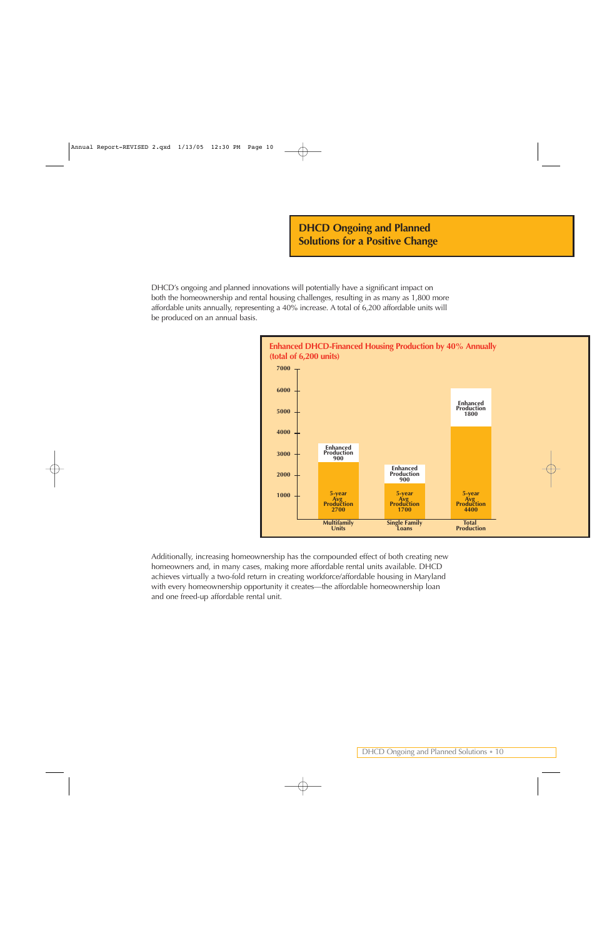# **DHCD Ongoing and Planned Solutions for a Positive Change**

DHCD's ongoing and planned innovations will potentially have a significant impact on both the homeownership and rental housing challenges, resulting in as many as 1,800 more affordable units annually, representing a 40% increase. A total of 6,200 affordable units will be produced on an annual basis.



Additionally, increasing homeownership has the compounded effect of both creating new homeowners and, in many cases, making more affordable rental units available. DHCD achieves virtually a two-fold return in creating workforce/affordable housing in Maryland with every homeownership opportunity it creates—the affordable homeownership loan and one freed-up affordable rental unit.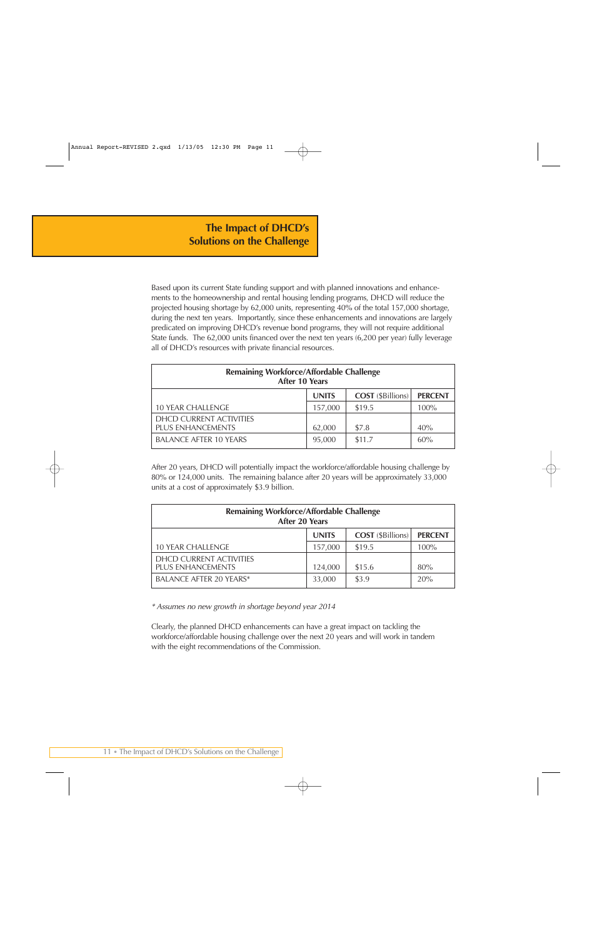# **The Impact of DHCD's Solutions on the Challenge**

Based upon its current State funding support and with planned innovations and enhancements to the homeownership and rental housing lending programs, DHCD will reduce the projected housing shortage by 62,000 units, representing 40% of the total 157,000 shortage, during the next ten years. Importantly, since these enhancements and innovations are largely predicated on improving DHCD's revenue bond programs, they will not require additional State funds. The 62,000 units financed over the next ten years (6,200 per year) fully leverage all of DHCD's resources with private financial resources.

| <b>Remaining Workforce/Affordable Challenge</b><br>After 10 Years |              |                          |                |  |  |
|-------------------------------------------------------------------|--------------|--------------------------|----------------|--|--|
|                                                                   | <b>UNITS</b> | <b>COST</b> (\$Billions) | <b>PERCENT</b> |  |  |
| <b>10 YEAR CHALLENGE</b>                                          | 157,000      | \$19.5                   | $100\%$        |  |  |
| DHCD CURRENT ACTIVITIES<br>PLUS ENHANCEMENTS                      | 62,000       | \$7.8                    | 40%            |  |  |
| <b>BALANCE AFTER 10 YEARS</b>                                     | 95,000       | \$11.7                   | 60%            |  |  |

After 20 years, DHCD will potentially impact the workforce/affordable housing challenge by 80% or 124,000 units. The remaining balance after 20 years will be approximately 33,000 units at a cost of approximately \$3.9 billion.

| Remaining Workforce/Affordable Challenge<br><b>After 20 Years</b> |              |                          |                |  |  |
|-------------------------------------------------------------------|--------------|--------------------------|----------------|--|--|
|                                                                   | <b>UNITS</b> | <b>COST</b> (\$Billions) | <b>PERCENT</b> |  |  |
| <b>10 YEAR CHALLENGE</b>                                          | 157,000      | \$19.5                   | $100\%$        |  |  |
| DHCD CURRENT ACTIVITIES<br>PLUS ENHANCEMENTS                      | 124,000      | \$15.6                   | 80%            |  |  |
| BALANCE AFTER 20 YEARS*                                           | 33,000       | \$3.9                    | 20%            |  |  |

\* Assumes no new growth in shortage beyond year 2014

Clearly, the planned DHCD enhancements can have a great impact on tackling the workforce/affordable housing challenge over the next 20 years and will work in tandem with the eight recommendations of the Commission.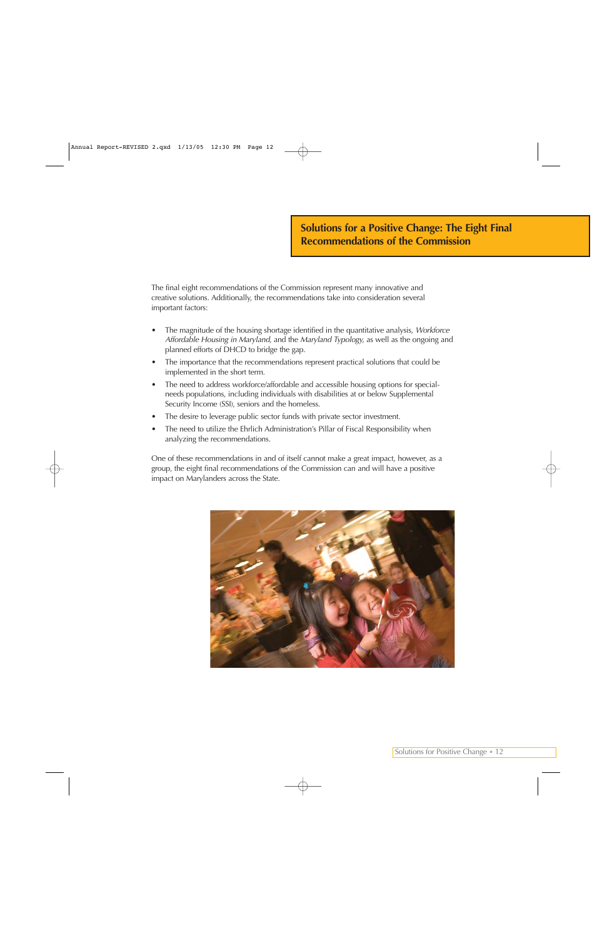The final eight recommendations of the Commission represent many innovative and creative solutions. Additionally, the recommendations take into consideration several important factors:

- The magnitude of the housing shortage identified in the quantitative analysis, Workforce Affordable Housing in Maryland, and the Maryland Typology, as well as the ongoing and planned efforts of DHCD to bridge the gap.
- The importance that the recommendations represent practical solutions that could be implemented in the short term.
- The need to address workforce/affordable and accessible housing options for specialneeds populations, including individuals with disabilities at or below Supplemental Security Income (SSI), seniors and the homeless.
- The desire to leverage public sector funds with private sector investment.
- The need to utilize the Ehrlich Administration's Pillar of Fiscal Responsibility when analyzing the recommendations.

One of these recommendations in and of itself cannot make a great impact, however, as a group, the eight final recommendations of the Commission can and will have a positive impact on Marylanders across the State.

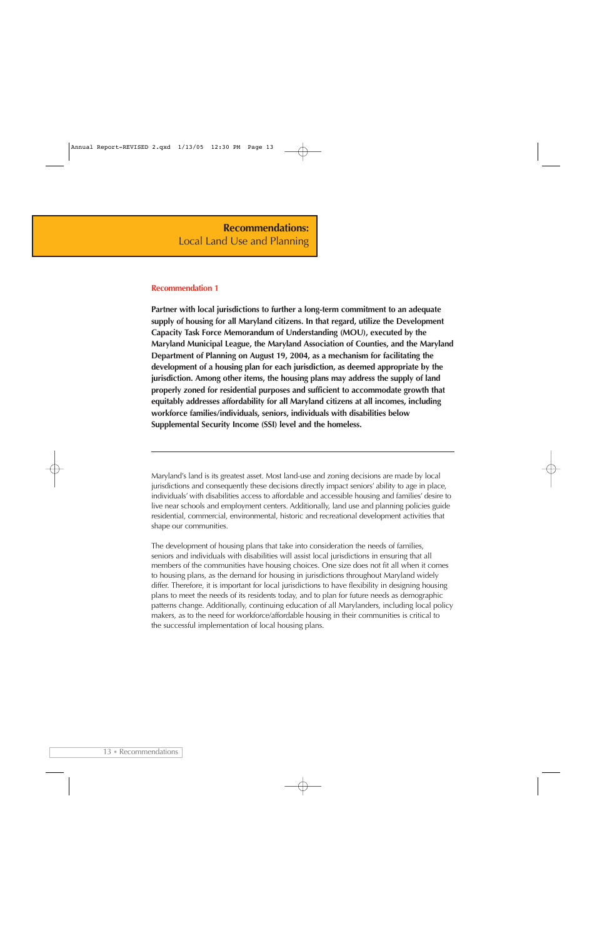**Partner with local jurisdictions to further a long-term commitment to an adequate supply of housing for all Maryland citizens. In that regard, utilize the Development Capacity Task Force Memorandum of Understanding (MOU), executed by the Maryland Municipal League, the Maryland Association of Counties, and the Maryland Department of Planning on August 19, 2004, as a mechanism for facilitating the development of a housing plan for each jurisdiction, as deemed appropriate by the jurisdiction. Among other items, the housing plans may address the supply of land properly zoned for residential purposes and sufficient to accommodate growth that equitably addresses affordability for all Maryland citizens at all incomes, including workforce families/individuals, seniors, individuals with disabilities below Supplemental Security Income (SSI) level and the homeless.** 

Maryland's land is its greatest asset. Most land-use and zoning decisions are made by local jurisdictions and consequently these decisions directly impact seniors' ability to age in place, individuals' with disabilities access to affordable and accessible housing and families' desire to live near schools and employment centers. Additionally, land use and planning policies guide residential, commercial, environmental, historic and recreational development activities that shape our communities.

The development of housing plans that take into consideration the needs of families, seniors and individuals with disabilities will assist local jurisdictions in ensuring that all members of the communities have housing choices. One size does not fit all when it comes to housing plans, as the demand for housing in jurisdictions throughout Maryland widely differ. Therefore, it is important for local jurisdictions to have flexibility in designing housing plans to meet the needs of its residents today, and to plan for future needs as demographic patterns change. Additionally, continuing education of all Marylanders, including local policy makers, as to the need for workforce/affordable housing in their communities is critical to the successful implementation of local housing plans.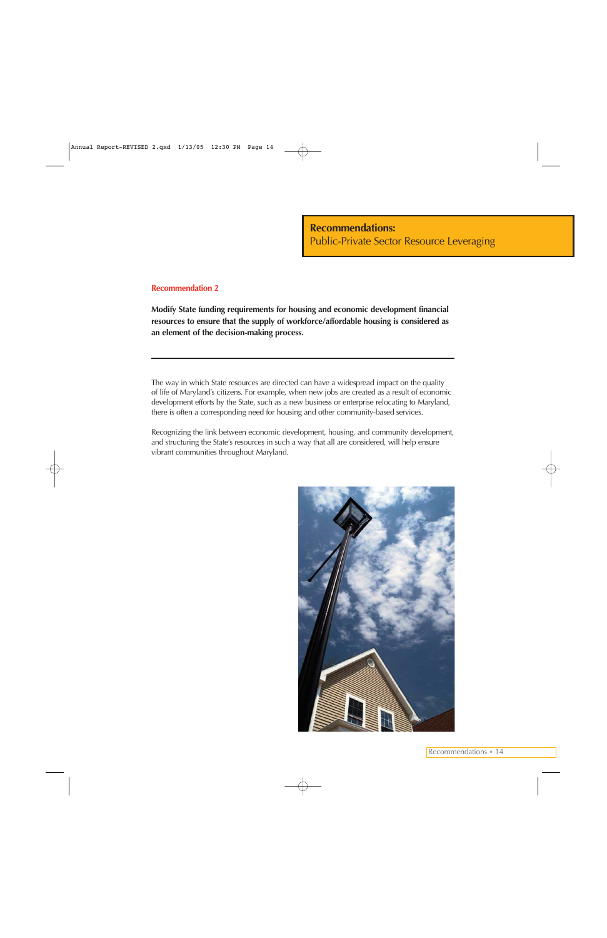**Modify State funding requirements for housing and economic development financial resources to ensure that the supply of workforce/affordable housing is considered as an element of the decision-making process.**

The way in which State resources are directed can have a widespread impact on the quality of life of Maryland's citizens. For example, when new jobs are created as a result of economic development efforts by the State, such as a new business or enterprise relocating to Maryland, there is often a corresponding need for housing and other community-based services.

Recognizing the link between economic development, housing, and community development, and structuring the State's resources in such a way that all are considered, will help ensure vibrant communities throughout Maryland.

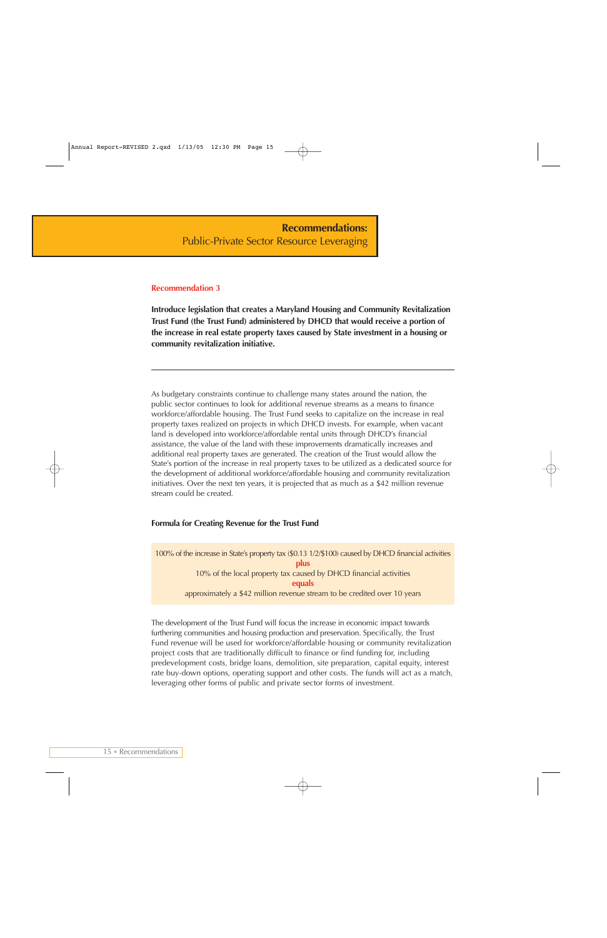**Introduce legislation that creates a Maryland Housing and Community Revitalization Trust Fund (the Trust Fund) administered by DHCD that would receive a portion of the increase in real estate property taxes caused by State investment in a housing or community revitalization initiative.**

As budgetary constraints continue to challenge many states around the nation, the public sector continues to look for additional revenue streams as a means to finance workforce/affordable housing. The Trust Fund seeks to capitalize on the increase in real property taxes realized on projects in which DHCD invests. For example, when vacant land is developed into workforce/affordable rental units through DHCD's financial assistance, the value of the land with these improvements dramatically increases and additional real property taxes are generated. The creation of the Trust would allow the State's portion of the increase in real property taxes to be utilized as a dedicated source for the development of additional workforce/affordable housing and community revitalization initiatives. Over the next ten years, it is projected that as much as a \$42 million revenue stream could be created.

### **Formula for Creating Revenue for the Trust Fund**

100% of the increase in State's property tax (\$0.13 1/2/\$100) caused by DHCD financial activities **plus** 10% of the local property tax caused by DHCD financial activities **equals** approximately a \$42 million revenue stream to be credited over 10 years

The development of the Trust Fund will focus the increase in economic impact towards furthering communities and housing production and preservation. Specifically, the Trust Fund revenue will be used for workforce/affordable housing or community revitalization project costs that are traditionally difficult to finance or find funding for, including predevelopment costs, bridge loans, demolition, site preparation, capital equity, interest rate buy-down options, operating support and other costs. The funds will act as a match, leveraging other forms of public and private sector forms of investment.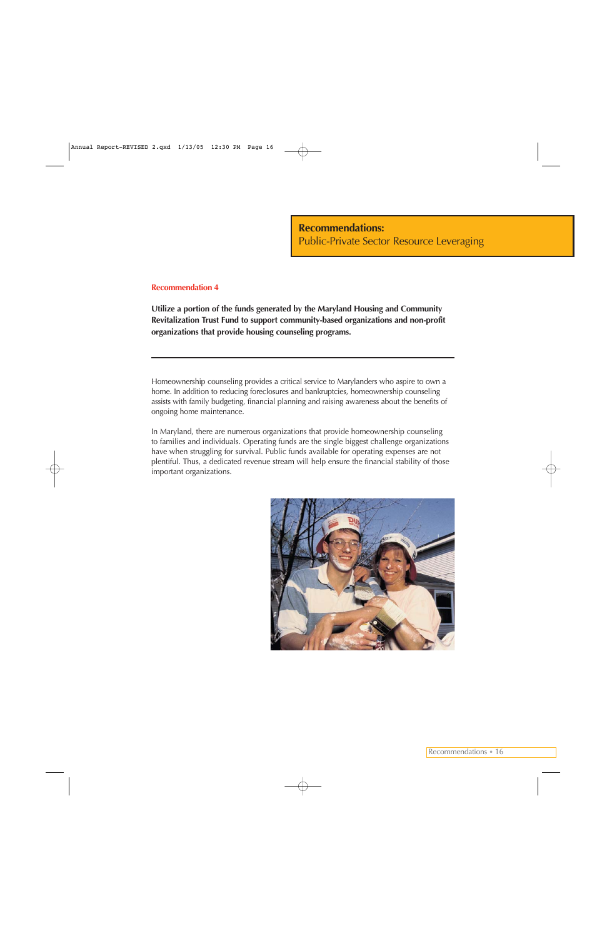**Utilize a portion of the funds generated by the Maryland Housing and Community Revitalization Trust Fund to support community-based organizations and non-profit organizations that provide housing counseling programs.**

Homeownership counseling provides a critical service to Marylanders who aspire to own a home. In addition to reducing foreclosures and bankruptcies, homeownership counseling assists with family budgeting, financial planning and raising awareness about the benefits of ongoing home maintenance.

In Maryland, there are numerous organizations that provide homeownership counseling to families and individuals. Operating funds are the single biggest challenge organizations have when struggling for survival. Public funds available for operating expenses are not plentiful. Thus, a dedicated revenue stream will help ensure the financial stability of those important organizations.

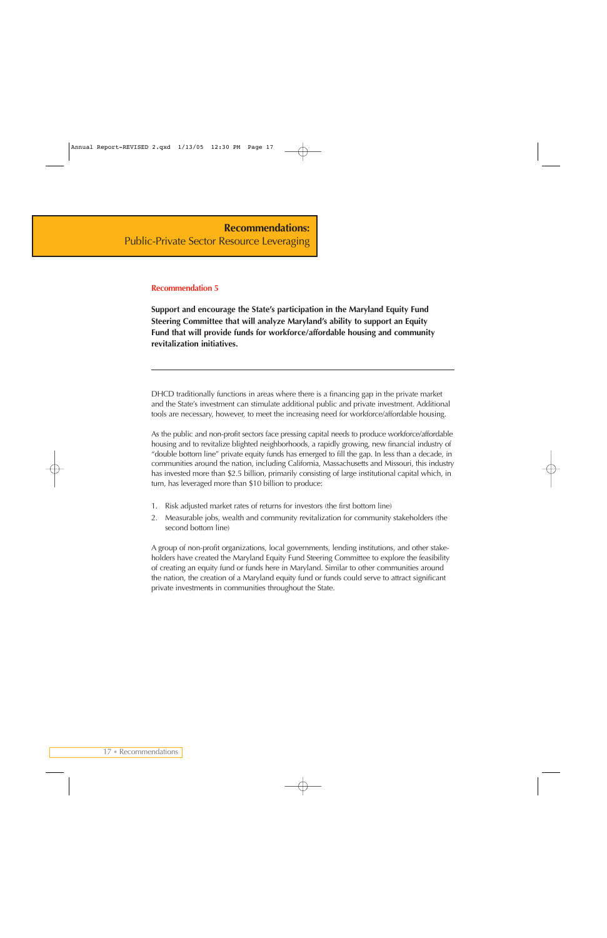**Support and encourage the State's participation in the Maryland Equity Fund Steering Committee that will analyze Maryland's ability to support an Equity Fund that will provide funds for workforce/affordable housing and community revitalization initiatives.**

DHCD traditionally functions in areas where there is a financing gap in the private market and the State's investment can stimulate additional public and private investment. Additional tools are necessary, however, to meet the increasing need for workforce/affordable housing.

As the public and non-profit sectors face pressing capital needs to produce workforce/affordable housing and to revitalize blighted neighborhoods, a rapidly growing, new financial industry of "double bottom line" private equity funds has emerged to fill the gap. In less than a decade, in communities around the nation, including California, Massachusetts and Missouri, this industry has invested more than \$2.5 billion, primarily consisting of large institutional capital which, in turn, has leveraged more than \$10 billion to produce:

- 1. Risk adjusted market rates of returns for investors (the first bottom line)
- 2. Measurable jobs, wealth and community revitalization for community stakeholders (the second bottom line)

A group of non-profit organizations, local governments, lending institutions, and other stakeholders have created the Maryland Equity Fund Steering Committee to explore the feasibility of creating an equity fund or funds here in Maryland. Similar to other communities around the nation, the creation of a Maryland equity fund or funds could serve to attract significant private investments in communities throughout the State.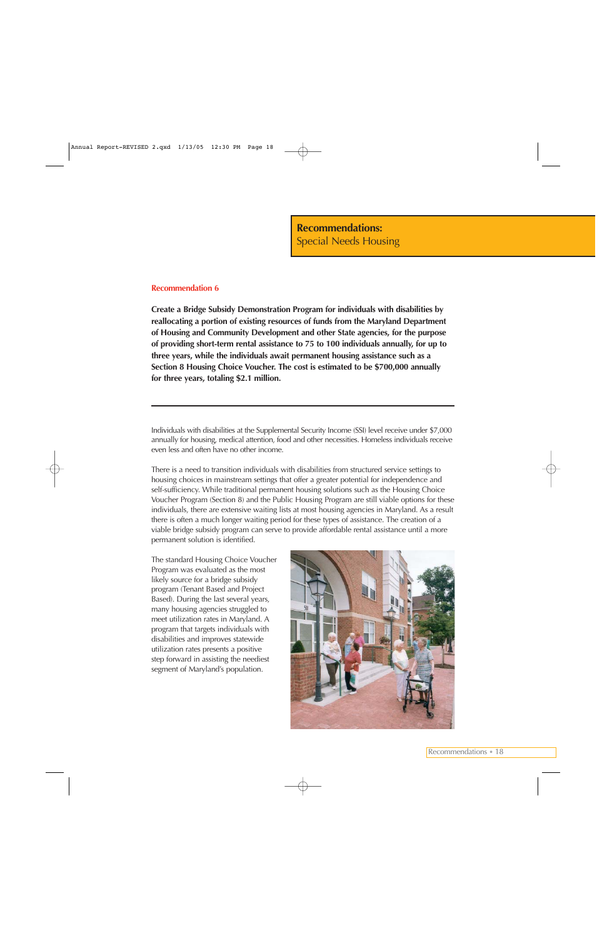**Create a Bridge Subsidy Demonstration Program for individuals with disabilities by reallocating a portion of existing resources of funds from the Maryland Department of Housing and Community Development and other State agencies, for the purpose of providing short-term rental assistance to 75 to 100 individuals annually, for up to three years, while the individuals await permanent housing assistance such as a Section 8 Housing Choice Voucher. The cost is estimated to be \$700,000 annually for three years, totaling \$2.1 million.**

Individuals with disabilities at the Supplemental Security Income (SSI) level receive under \$7,000 annually for housing, medical attention, food and other necessities. Homeless individuals receive even less and often have no other income.

There is a need to transition individuals with disabilities from structured service settings to housing choices in mainstream settings that offer a greater potential for independence and self-sufficiency. While traditional permanent housing solutions such as the Housing Choice Voucher Program (Section 8) and the Public Housing Program are still viable options for these individuals, there are extensive waiting lists at most housing agencies in Maryland. As a result there is often a much longer waiting period for these types of assistance. The creation of a viable bridge subsidy program can serve to provide affordable rental assistance until a more permanent solution is identified.

The standard Housing Choice Voucher Program was evaluated as the most likely source for a bridge subsidy program (Tenant Based and Project Based). During the last several years, many housing agencies struggled to meet utilization rates in Maryland. A program that targets individuals with disabilities and improves statewide utilization rates presents a positive step forward in assisting the neediest segment of Maryland's population.

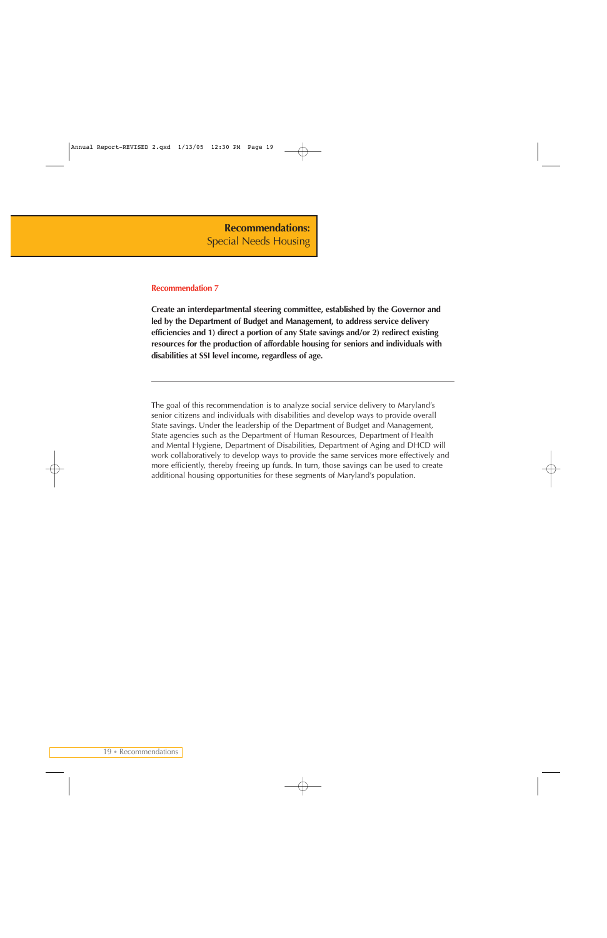**Create an interdepartmental steering committee, established by the Governor and led by the Department of Budget and Management, to address service delivery efficiencies and 1) direct a portion of any State savings and/or 2) redirect existing resources for the production of affordable housing for seniors and individuals with disabilities at SSI level income, regardless of age.**

The goal of this recommendation is to analyze social service delivery to Maryland's senior citizens and individuals with disabilities and develop ways to provide overall State savings. Under the leadership of the Department of Budget and Management, State agencies such as the Department of Human Resources, Department of Health and Mental Hygiene, Department of Disabilities, Department of Aging and DHCD will work collaboratively to develop ways to provide the same services more effectively and more efficiently, thereby freeing up funds. In turn, those savings can be used to create additional housing opportunities for these segments of Maryland's population.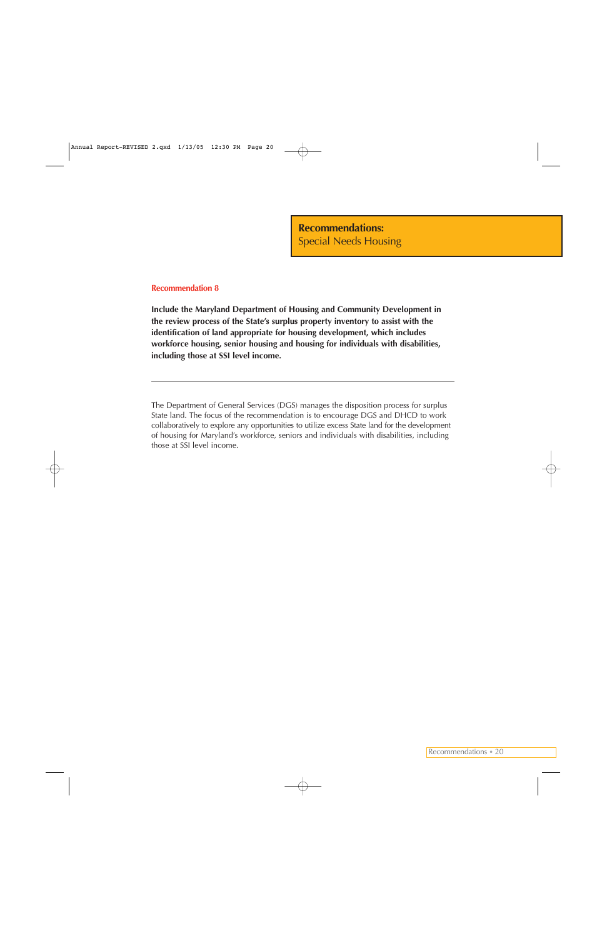**Include the Maryland Department of Housing and Community Development in the review process of the State's surplus property inventory to assist with the identification of land appropriate for housing development, which includes workforce housing, senior housing and housing for individuals with disabilities, including those at SSI level income.**

The Department of General Services (DGS) manages the disposition process for surplus State land. The focus of the recommendation is to encourage DGS and DHCD to work collaboratively to explore any opportunities to utilize excess State land for the development of housing for Maryland's workforce, seniors and individuals with disabilities, including those at SSI level income.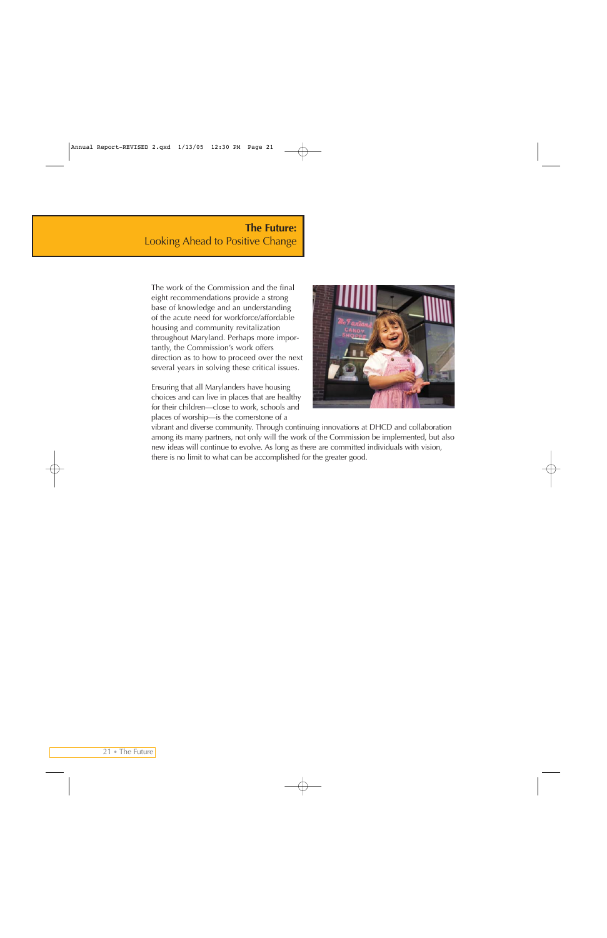# **The Future:** Looking Ahead to Positive Change

The work of the Commission and the final eight recommendations provide a strong base of knowledge and an understanding of the acute need for workforce/affordable housing and community revitalization throughout Maryland. Perhaps more importantly, the Commission's work offers direction as to how to proceed over the next several years in solving these critical issues.

Ensuring that all Marylanders have housing choices and can live in places that are healthy for their children—close to work, schools and places of worship—is the cornerstone of a



vibrant and diverse community. Through continuing innovations at DHCD and collaboration among its many partners, not only will the work of the Commission be implemented, but also new ideas will continue to evolve. As long as there are committed individuals with vision, there is no limit to what can be accomplished for the greater good.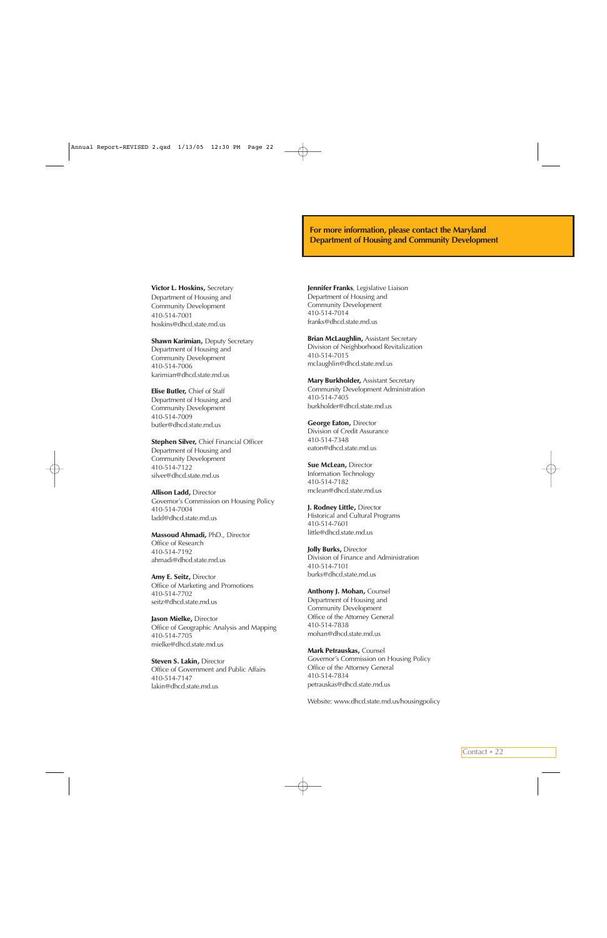### **For more information, please contact the Maryland Department of Housing and Community Development**

**Victor L. Hoskins,** Secretary Department of Housing and Community Development 410-514-7001 hoskins@dhcd.state.md.us

**Shawn Karimian,** Deputy Secretary Department of Housing and Community Development 410-514-7006 karimian@dhcd.state.md.us

**Elise Butler,** Chief of Staff Department of Housing and Community Development 410-514-7009 butler@dhcd.state.md.us

**Stephen Silver,** Chief Financial Officer Department of Housing and Community Development 410-514-7122 silver@dhcd.state.md.us

**Allison Ladd,** Director Governor's Commission on Housing Policy 410-514-7004 ladd@dhcd.state.md.us

**Massoud Ahmadi,** PhD., Director Office of Research 410-514-7192 ahmadi@dhcd.state.md.us

**Amy E. Seitz,** Director Office of Marketing and Promotions 410-514-7702 seitz@dhcd.state.md.us

**Jason Mielke,** Director Office of Geographic Analysis and Mapping 410-514-7705 mielke@dhcd.state.md.us

**Steven S. Lakin,** Director Office of Government and Public Affairs 410-514-7147 lakin@dhcd.state.md.us

**Jennifer Franks**, Legislative Liaison Department of Housing and Community Development 410-514-7014 franks@dhcd.state.md.us

**Brian McLaughlin,** Assistant Secretary Division of Neighborhood Revitalization 410-514-7015 mclaughlin@dhcd.state.md.us

**Mary Burkholder,** Assistant Secretary Community Development Administration 410-514-7405 burkholder@dhcd.state.md.us

**George Eaton,** Director Division of Credit Assurance 410-514-7348 eaton@dhcd.state.md.us

**Sue McLean,** Director Information Technology 410-514-7182 mclean@dhcd.state.md.us

**J. Rodney Little,** Director Historical and Cultural Programs 410-514-7601 little@dhcd.state.md.us

**Jolly Burks, Director** Division of Finance and Administration 410-514-7101 burks@dhcd.state.md.us

**Anthony J. Mohan,** Counsel Department of Housing and Community Development Office of the Attorney General 410-514-7838 mohan@dhcd.state.md.us

**Mark Petrauskas,** Counsel Governor's Commission on Housing Policy Office of the Attorney General 410-514-7834 petrauskas@dhcd.state.md.us

Website: www.dhcd.state.md.us/housingpolicy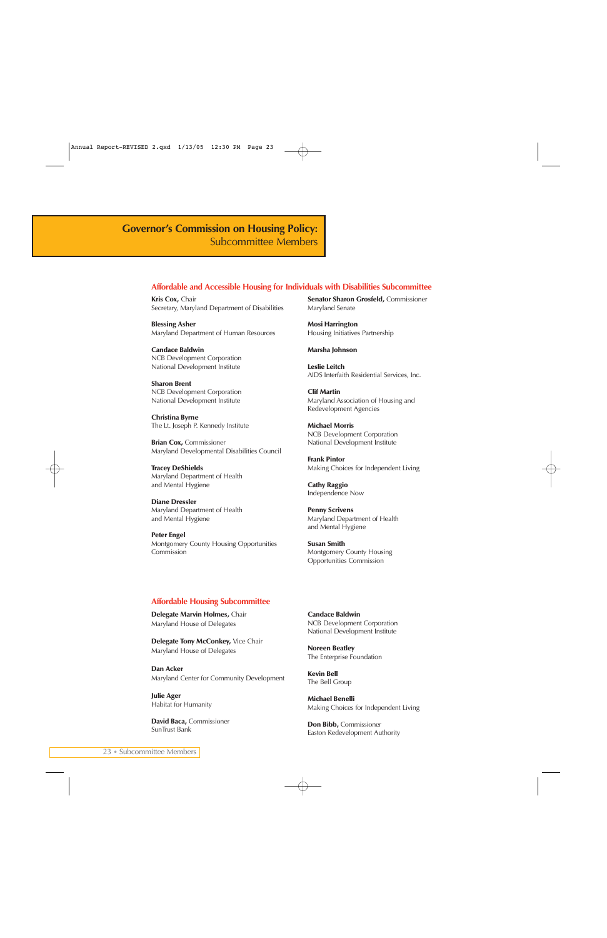### **Affordable and Accessible Housing for Individuals with Disabilities Subcommittee**

**Kris Cox,** Chair Secretary, Maryland Department of Disabilities

**Blessing Asher** Maryland Department of Human Resources

**Candace Baldwin** NCB Development Corporation National Development Institute

**Sharon Brent** NCB Development Corporation National Development Institute

**Christina Byrne** The Lt. Joseph P. Kennedy Institute

**Brian Cox,** Commissioner Maryland Developmental Disabilities Council

**Tracey DeShields** Maryland Department of Health and Mental Hygiene

**Diane Dressler** Maryland Department of Health and Mental Hygiene

**Peter Engel** Montgomery County Housing Opportunities Commission

**Senator Sharon Grosfeld,** Commissioner Maryland Senate

**Mosi Harrington** Housing Initiatives Partnership

#### **Marsha Johnson**

**Leslie Leitch** AIDS Interfaith Residential Services, Inc.

**Clif Martin** Maryland Association of Housing and Redevelopment Agencies

**Michael Morris** NCB Development Corporation National Development Institute

**Frank Pintor** Making Choices for Independent Living

**Cathy Raggio** Independence Now

**Penny Scrivens** Maryland Department of Health and Mental Hygiene

**Susan Smith** Montgomery County Housing Opportunities Commission

## **Affordable Housing Subcommittee**

**Delegate Marvin Holmes,** Chair Maryland House of Delegates

**Delegate Tony McConkey, Vice Chair** Maryland House of Delegates

**Dan Acker** Maryland Center for Community Development

**Julie Ager** Habitat for Humanity

**David Baca,** Commissioner SunTrust Bank

**Candace Baldwin** NCB Development Corporation National Development Institute

**Noreen Beatley** The Enterprise Foundation

**Kevin Bell** The Bell Group

**Michael Benelli** Making Choices for Independent Living

**Don Bibb,** Commissioner Easton Redevelopment Authority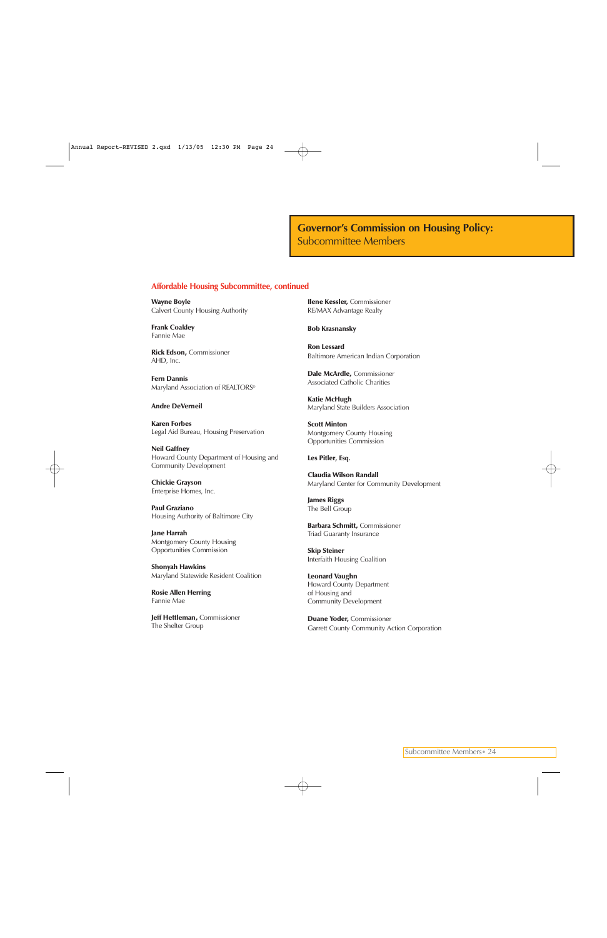# **Governor's Commission on Housing Policy:**  Subcommittee Members

### **Affordable Housing Subcommittee, continued**

**Wayne Boyle** Calvert County Housing Authority

**Frank Coakley** Fannie Mae

**Bob Krasnansky**

**Rick Edson,** Commissioner AHD, Inc.

**Fern Dannis** Maryland Association of REALTORS®

#### **Andre DeVerneil**

**Karen Forbes** Legal Aid Bureau, Housing Preservation

**Neil Gaffney** Howard County Department of Housing and Community Development

**Chickie Grayson** Enterprise Homes, Inc.

**Paul Graziano** Housing Authority of Baltimore City

**Jane Harrah** Montgomery County Housing Opportunities Commission

**Shonyah Hawkins** Maryland Statewide Resident Coalition

**Rosie Allen Herring** Fannie Mae

**Jeff Hettleman,** Commissioner The Shelter Group

**Ron Lessard** Baltimore American Indian Corporation

**Dale McArdle,** Commissioner Associated Catholic Charities

**Ilene Kessler,** Commissioner RE/MAX Advantage Realty

**Katie McHugh** Maryland State Builders Association

**Scott Minton** Montgomery County Housing Opportunities Commission

#### **Les Pitler, Esq.**

**Claudia Wilson Randall** Maryland Center for Community Development

**James Riggs** The Bell Group

**Barbara Schmitt,** Commissioner Triad Guaranty Insurance

**Skip Steiner** Interfaith Housing Coalition

**Leonard Vaughn** Howard County Department of Housing and Community Development

**Duane Yoder,** Commissioner Garrett County Community Action Corporation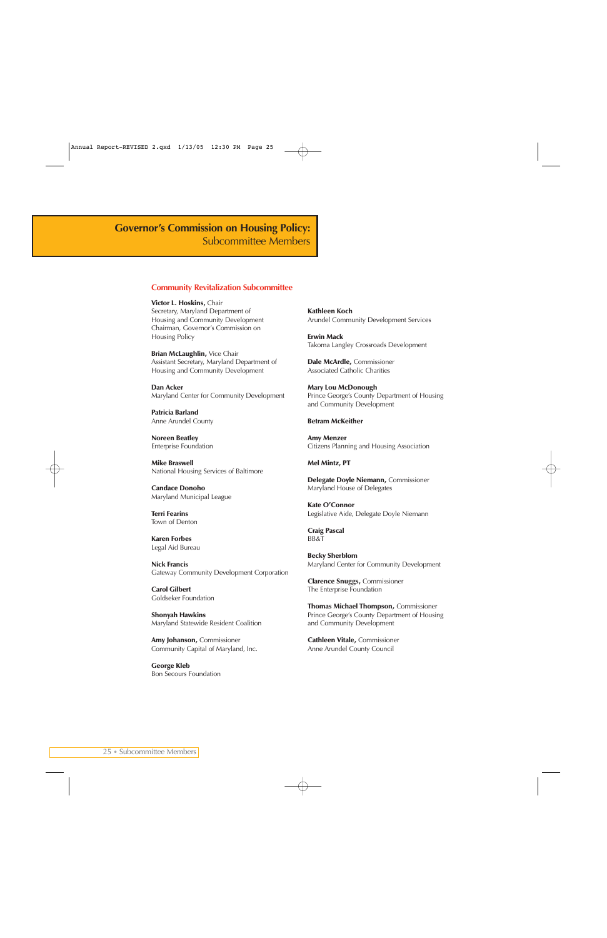### **Community Revitalization Subcommittee**

**Victor L. Hoskins,** Chair Secretary, Maryland Department of Housing and Community Development Chairman, Governor's Commission on Housing Policy

**Brian McLaughlin,** Vice Chair Assistant Secretary, Maryland Department of Housing and Community Development

**Dan Acker** Maryland Center for Community Development

**Patricia Barland** Anne Arundel County

**Noreen Beatley** Enterprise Foundation

**Mike Braswell** National Housing Services of Baltimore

**Candace Donoho** Maryland Municipal League

**Terri Fearins** Town of Denton

**Karen Forbes** Legal Aid Bureau

**Nick Francis** Gateway Community Development Corporation

**Carol Gilbert** Goldseker Foundation

**Shonyah Hawkins** Maryland Statewide Resident Coalition

**Amy Johanson,** Commissioner Community Capital of Maryland, Inc.

**George Kleb** Bon Secours Foundation **Kathleen Koch** Arundel Community Development Services

**Erwin Mack** Takoma Langley Crossroads Development

**Dale McArdle,** Commissioner Associated Catholic Charities

**Mary Lou McDonough** Prince George's County Department of Housing and Community Development

#### **Betram McKeither**

**Amy Menzer** Citizens Planning and Housing Association

**Mel Mintz, PT**

**Delegate Doyle Niemann,** Commissioner Maryland House of Delegates

**Kate O'Connor** Legislative Aide, Delegate Doyle Niemann

**Craig Pascal** BB&T

**Becky Sherblom** Maryland Center for Community Development

**Clarence Snuggs,** Commissioner The Enterprise Foundation

**Thomas Michael Thompson,** Commissioner Prince George's County Department of Housing and Community Development

**Cathleen Vitale,** Commissioner Anne Arundel County Council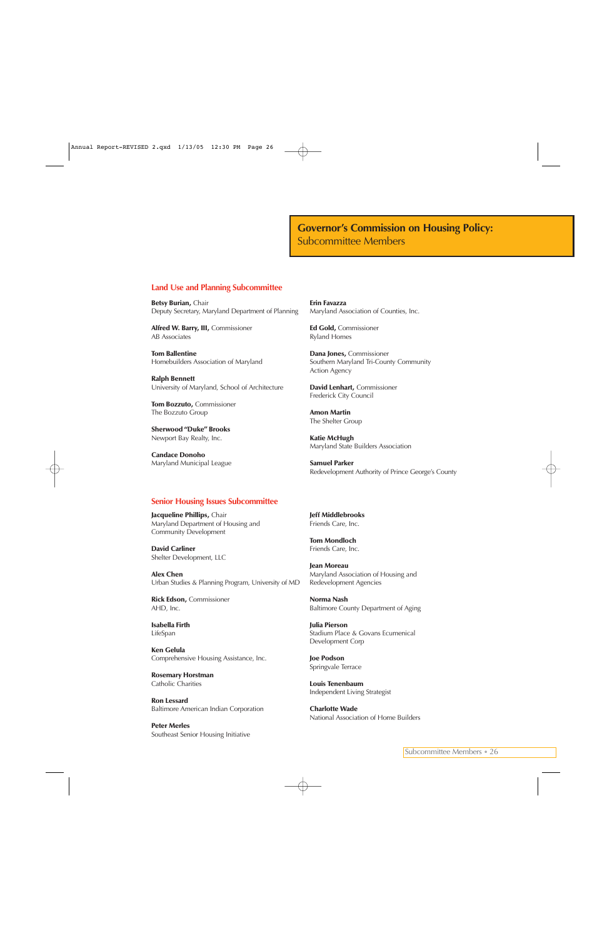# **Governor's Commission on Housing Policy:**  Subcommittee Members

### **Land Use and Planning Subcommittee**

**Betsy Burian,** Chair Deputy Secretary, Maryland Department of Planning

**Alfred W. Barry, III,** Commissioner AB Associates

**Tom Ballentine** Homebuilders Association of Maryland

**Ralph Bennett** University of Maryland, School of Architecture

**Tom Bozzuto,** Commissioner The Bozzuto Group

**Sherwood "Duke" Brooks** Newport Bay Realty, Inc.

**Candace Donoho** Maryland Municipal League **Erin Favazza** Maryland Association of Counties, Inc.

**Ed Gold,** Commissioner Ryland Homes

**Dana Jones,** Commissioner Southern Maryland Tri-County Community Action Agency

**David Lenhart,** Commissioner Frederick City Council

**Amon Martin** The Shelter Group

**Katie McHugh** Maryland State Builders Association

**Samuel Parker** Redevelopment Authority of Prince George's County

#### **Senior Housing Issues Subcommittee**

**Jacqueline Phillips,** Chair Maryland Department of Housing and Community Development

**David Carliner** Shelter Development, LLC

**Alex Chen** Urban Studies & Planning Program, University of MD

**Rick Edson,** Commissioner AHD, Inc.

**Isabella Firth** LifeSpan

**Ken Gelula** Comprehensive Housing Assistance, Inc.

**Rosemary Horstman** Catholic Charities

**Ron Lessard** Baltimore American Indian Corporation

**Peter Merles** Southeast Senior Housing Initiative **Jeff Middlebrooks** Friends Care, Inc.

**Tom Mondloch** Friends Care, Inc.

**Jean Moreau** Maryland Association of Housing and Redevelopment Agencies

**Norma Nash** Baltimore County Department of Aging

**Julia Pierson** Stadium Place & Govans Ecumenical Development Corp

**Joe Podson** Springvale Terrace

**Louis Tenenbaum** Independent Living Strategist

**Charlotte Wade** National Association of Home Builders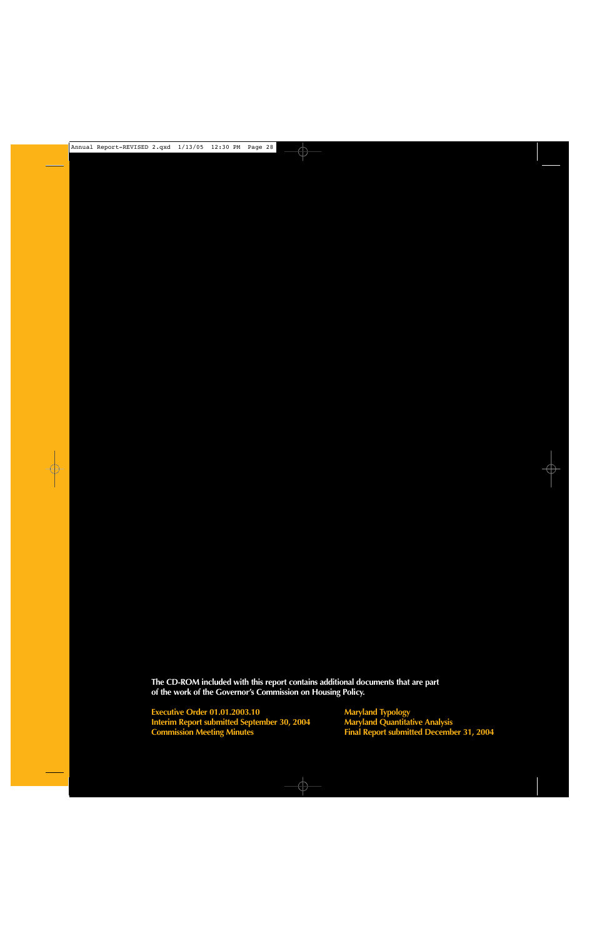**The CD-ROM included with this report contains additional documents that are part of the work of the Governor's Commission on Housing Policy.** 

**Executive Order 01.01.2003.10** Maryland Typology **Interim Report submitted September 30, 2004 Maryland Quantitative Analysis** 

**Commission Meeting Minutes The State State State State Final Report submitted December 31, 2004**